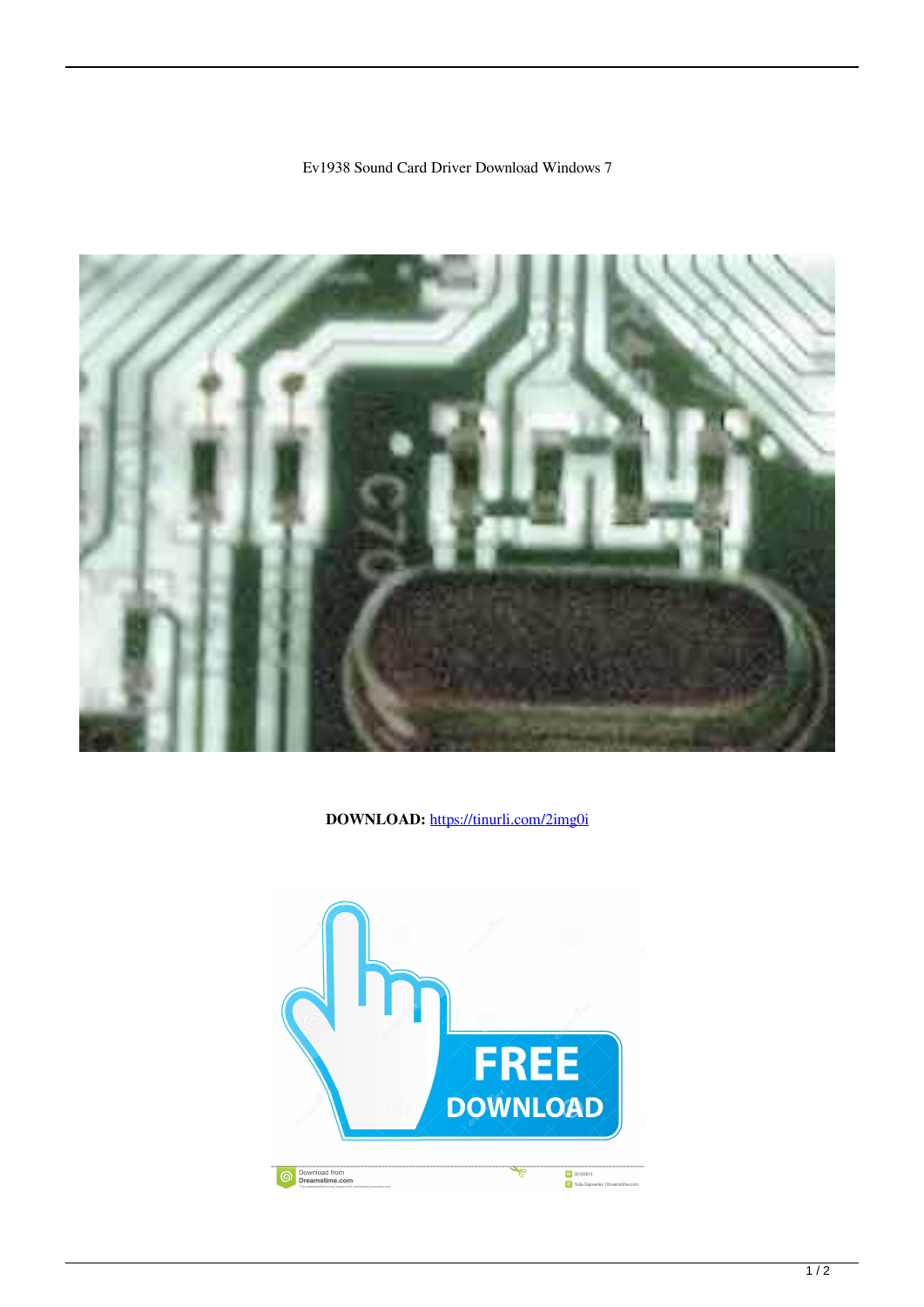## Ev1938 Sound Card Driver Download Windows 7



DOWNLOAD: https://tinurli.com/2img0i